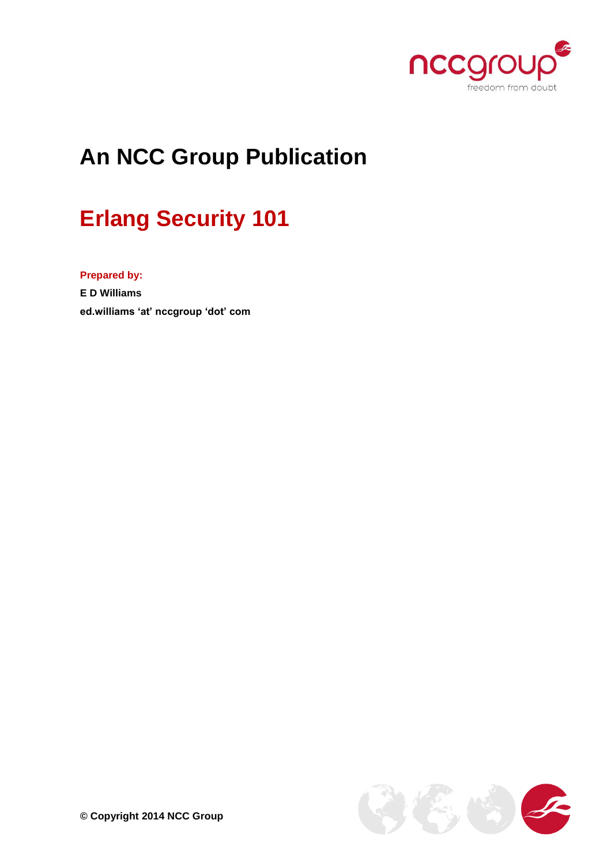

# **An NCC Group Publication**

# **Erlang Security 101**

**Prepared by:**

**E D Williams ed.williams 'at' nccgroup 'dot' com**

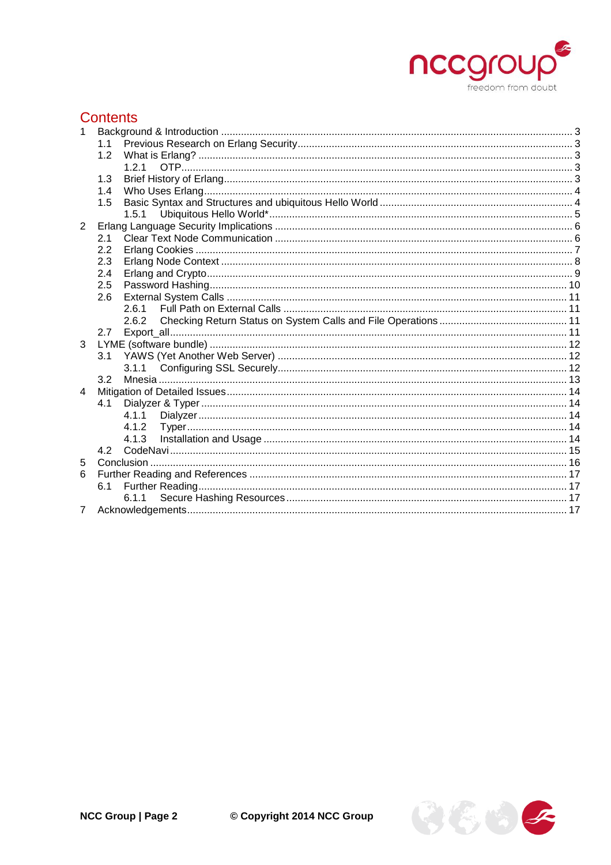

# **Contents**

| 1              |       |  |
|----------------|-------|--|
|                | 1.1   |  |
|                | 1.2   |  |
|                | 1 2 1 |  |
|                | 1.3   |  |
|                | 1.4   |  |
|                | 1.5   |  |
|                | 1.5.1 |  |
| 2              |       |  |
|                | 2.1   |  |
|                | 2.2   |  |
|                | 2.3   |  |
|                | 2.4   |  |
|                | 2.5   |  |
|                | 2.6   |  |
|                | 261   |  |
|                | 2.6.2 |  |
|                | 2.7   |  |
| 3              |       |  |
|                | 3.1   |  |
|                | 3.2   |  |
| $\overline{4}$ |       |  |
|                | 4.1   |  |
|                | 4.1.1 |  |
|                |       |  |
|                |       |  |
|                | 4.2   |  |
| 5              |       |  |
| 6              |       |  |
|                | 6.1   |  |
|                | 6.1.1 |  |
|                |       |  |
|                |       |  |

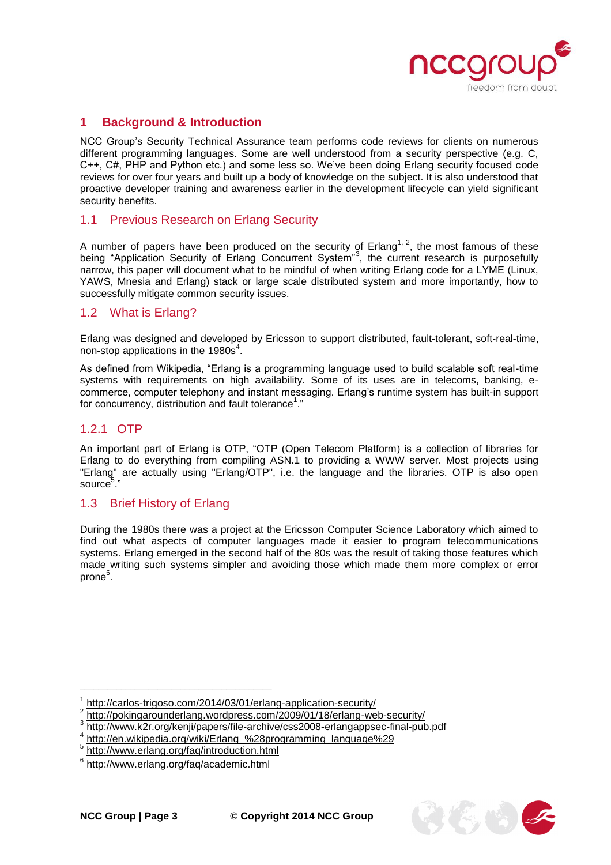

# <span id="page-2-0"></span>**1 Background & Introduction**

NCC Group's Security Technical Assurance team performs code reviews for clients on numerous different programming languages. Some are well understood from a security perspective (e.g. C, C++, C#, PHP and Python etc.) and some less so. We've been doing Erlang security focused code reviews for over four years and built up a body of knowledge on the subject. It is also understood that proactive developer training and awareness earlier in the development lifecycle can yield significant security benefits.

#### <span id="page-2-1"></span>1.1 Previous Research on Erlang Security

A number of papers have been produced on the security of Erlang<sup>1, 2</sup>, the most famous of these being "Application Security of Erlang Concurrent System"<sup>3</sup>, the current research is purposefully narrow, this paper will document what to be mindful of when writing Erlang code for a LYME (Linux, YAWS, Mnesia and Erlang) stack or large scale distributed system and more importantly, how to successfully mitigate common security issues.

#### <span id="page-2-2"></span>1.2 What is Erlang?

Erlang was designed and developed by Ericsson to support distributed, fault-tolerant, soft-real-time, non-stop applications in the 1980s $4$ .

As defined from Wikipedia, "Erlang is a programming language used to build scalable soft real-time systems with requirements on high availability. Some of its uses are in telecoms, banking, ecommerce, computer telephony and instant messaging. Erlang's runtime system has built-in support for concurrency, distribution and fault tolerance<sup>1</sup>."

#### <span id="page-2-3"></span>1.2.1 OTP

An important part of Erlang is OTP, "OTP (Open Telecom Platform) is a collection of libraries for Erlang to do everything from compiling ASN.1 to providing a WWW server. Most projects using "Erlang" are actually using "Erlang/OTP", i.e. the language and the libraries. OTP is also open source<sup>5</sup> ."

#### <span id="page-2-4"></span>1.3 Brief History of Erlang

During the 1980s there was a project at the Ericsson Computer Science Laboratory which aimed to find out what aspects of computer languages made it easier to program telecommunications systems. Erlang emerged in the second half of the 80s was the result of taking those features which made writing such systems simpler and avoiding those which made them more complex or error prone<sup>6</sup>.



<sup>1</sup> <http://carlos-trigoso.com/2014/03/01/erlang-application-security/>

<sup>2</sup> <http://pokingarounderlang.wordpress.com/2009/01/18/erlang-web-security/>

<sup>&</sup>lt;sup>3</sup><http://www.k2r.org/kenji/papers/file-archive/css2008-erlangappsec-final-pub.pdf><br>4 http://en.wikipedia.org/wiki/Erlang. %29pregreppping. language%20

[http://en.wikipedia.org/wiki/Erlang\\_%28programming\\_language%29](http://en.wikipedia.org/wiki/Erlang_%28programming_language%29)

<sup>&</sup>lt;sup>5</sup> <http://www.erlang.org/faq/introduction.html>

<sup>6</sup> <http://www.erlang.org/faq/academic.html>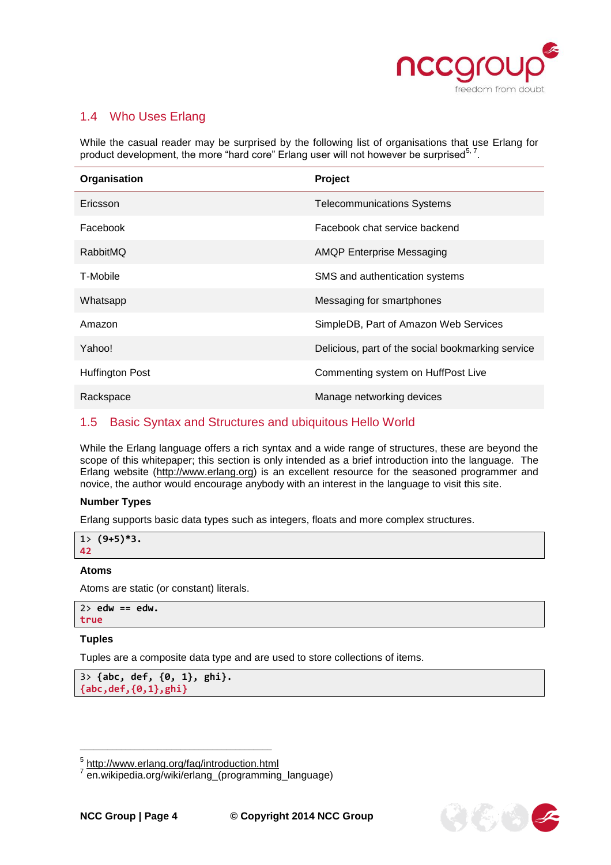

## <span id="page-3-0"></span>1.4 Who Uses Erlang

While the casual reader may be surprised by the following list of organisations that use Erlang for product development, the more "hard core" Erlang user will not however be surprised<sup>5, 7</sup>.

| Organisation           | Project                                           |
|------------------------|---------------------------------------------------|
| Ericsson               | <b>Telecommunications Systems</b>                 |
| Facebook               | Facebook chat service backend                     |
| RabbitMQ               | <b>AMQP Enterprise Messaging</b>                  |
| T-Mobile               | SMS and authentication systems                    |
| Whatsapp               | Messaging for smartphones                         |
| Amazon                 | SimpleDB, Part of Amazon Web Services             |
| Yahoo!                 | Delicious, part of the social bookmarking service |
| <b>Huffington Post</b> | Commenting system on HuffPost Live                |
| Rackspace              | Manage networking devices                         |

# <span id="page-3-1"></span>1.5 Basic Syntax and Structures and ubiquitous Hello World

While the Erlang language offers a rich syntax and a wide range of structures, these are beyond the scope of this whitepaper; this section is only intended as a brief introduction into the language. The Erlang website [\(http://www.erlang.org\)](http://www.erlang.org/) is an excellent resource for the seasoned programmer and novice, the author would encourage anybody with an interest in the language to visit this site.

#### **Number Types**

Erlang supports basic data types such as integers, floats and more complex structures.

|    | $1(9+5)*3.$ |
|----|-------------|
| 42 |             |

#### **Atoms**

Atoms are static (or constant) literals.

```
2> edw == edw.
true
```
#### **Tuples**

Tuples are a composite data type and are used to store collections of items.

```
3> {abc, def, {0, 1}, ghi}.
{abc,def,{0,1},ghi}
```


\_\_\_\_\_\_\_\_\_\_\_\_\_\_\_\_\_\_\_\_\_\_\_\_\_\_\_\_\_\_\_\_\_\_\_\_\_\_\_\_\_\_ <sup>5</sup> http://www.erlang.org/faq/introduction.html<br><sup>7</sup> en wikipedia arg/wiki/orlang\_(pregramming

en.wikipedia.org/wiki/erlang (programming language)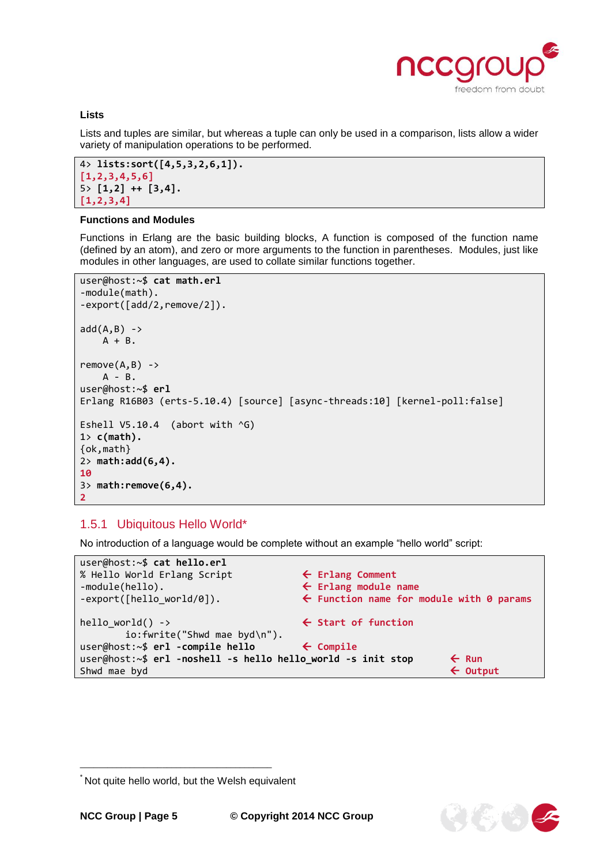

そらっ

#### **Lists**

Lists and tuples are similar, but whereas a tuple can only be used in a comparison, lists allow a wider variety of manipulation operations to be performed.

```
4> lists:sort([4,5,3,2,6,1]).
[1,2,3,4,5,6]
5> [1,2] ++ [3,4].
[1,2,3,4]
```
#### **Functions and Modules**

Functions in Erlang are the basic building blocks, A function is composed of the function name (defined by an atom), and zero or more arguments to the function in parentheses. Modules, just like modules in other languages, are used to collate similar functions together.

```
user@host:~$ cat math.erl
-module(math).
-export([add/2,remove/2]).
add(A, B) ->
    A + B.
remove(A,B) ->
    A - B.
user@host:~$ erl
Erlang R16B03 (erts-5.10.4) [source] [async-threads:10] [kernel-poll:false]
Eshell V5.10.4 (abort with ^G)
1> c(math).
{ok,math}
2> math:add(6,4).
10
3> math:remove(6,4).
2
```
#### <span id="page-4-0"></span>1.5.1 Ubiquitous Hello World\*

No introduction of a language would be complete without an example "hello world" script:

```
user@host:~$ cat hello.erl
% Hello World Erlang Script  Erlang Comment
-module(hello).  Erlang module name
-export([hello_world/0]).  Function name for module with 0 params
hello_world() -> External Start of function
      io:fwrite("Shwd mae byd\n").
user@host:~$ erl -compile hello  Compile
user@host:~$ erl -noshell -s hello hello_world -s init stop  Run
Shwd mae byd  Output
```
<sup>\*</sup> Not quite hello world, but the Welsh equivalent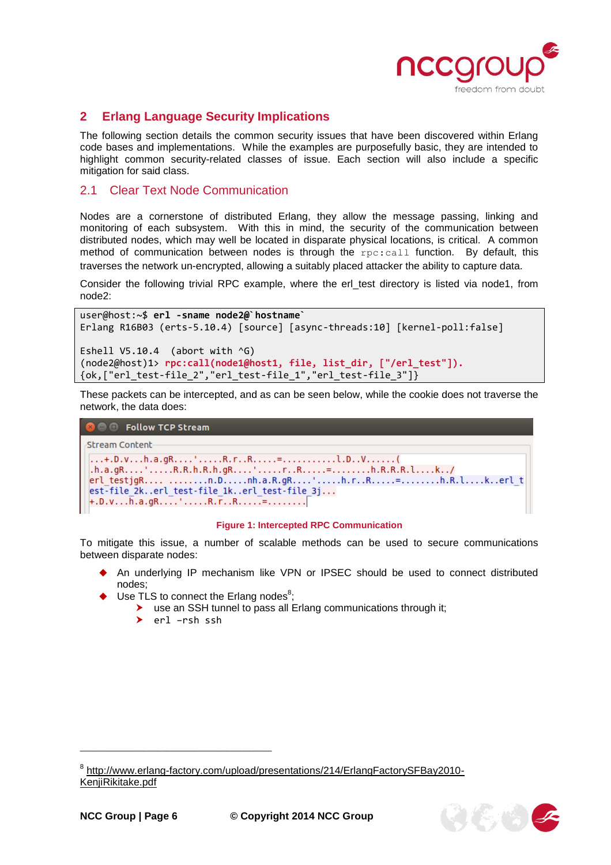

# <span id="page-5-0"></span>**2 Erlang Language Security Implications**

The following section details the common security issues that have been discovered within Erlang code bases and implementations. While the examples are purposefully basic, they are intended to highlight common security-related classes of issue. Each section will also include a specific mitigation for said class.

#### <span id="page-5-1"></span>2.1 Clear Text Node Communication

Nodes are a cornerstone of distributed Erlang, they allow the message passing, linking and monitoring of each subsystem. With this in mind, the security of the communication between distributed nodes, which may well be located in disparate physical locations, is critical. A common method of communication between nodes is through the rpc:call function. By default, this traverses the network un-encrypted, allowing a suitably placed attacker the ability to capture data.

Consider the following trivial RPC example, where the erl\_test directory is listed via node1, from node2:

```
user@host:~$ erl -sname node2@`hostname`
Erlang R16B03 (erts-5.10.4) [source] [async-threads:10] [kernel-poll:false]
Eshell V5.10.4 (abort with ^G)
(node2@host)1> rpc:call(node1@host1, file, list_dir, ["/erl_test"]).
{ok,["erl_test-file_2","erl_test-file_1","erl_test-file_3"]}
```
These packets can be intercepted, and as can be seen below, while the cookie does not traverse the network, the data does:

```
O Follow TCP Stream
Stream Content
...+.D.v...h.a.gR....'.....R.r..R.....=.............1.D..V.......(
,h.a.gR...:...R.R.h.R.h.gR...:...r.R...=......b.R.R.R.R.l...k...erl_testjgR.... ........n.D.....nh.a.R.gR....'.....h.r..R.....=........h.R.l....k..erl_t
est-file_2k..erl_test-file_1k..erl_test-file_3j...
+, D, v, \ldots, h, a, gR, \ldots, \ldots, R, r, R, \ldots, R, \ldots, \equiv \ldots, \ldots, \ldots,
```
#### **Figure 1: Intercepted RPC Communication**

To mitigate this issue, a number of scalable methods can be used to secure communications between disparate nodes:

- An underlying IP mechanism like VPN or IPSEC should be used to connect distributed nodes;
- $\blacklozenge$  Use TLS to connect the Erlang nodes<sup>8</sup>;
	- use an SSH tunnel to pass all Erlang communications through it;
		- erl –rsh ssh



<sup>&</sup>lt;sup>8</sup> [http://www.erlang-factory.com/upload/presentations/214/ErlangFactorySFBay2010-](http://www.erlang-factory.com/upload/presentations/214/ErlangFactorySFBay2010-KenjiRikitake.pdf) [KenjiRikitake.pdf](http://www.erlang-factory.com/upload/presentations/214/ErlangFactorySFBay2010-KenjiRikitake.pdf)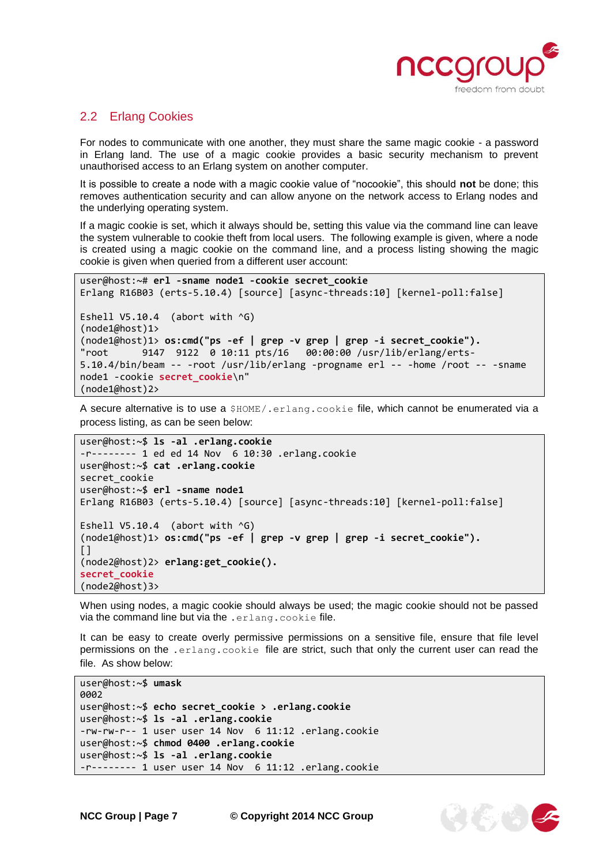

# <span id="page-6-0"></span>2.2 Erlang Cookies

For nodes to communicate with one another, they must share the same magic cookie - a password in Erlang land. The use of a magic cookie provides a basic security mechanism to prevent unauthorised access to an Erlang system on another computer.

It is possible to create a node with a magic cookie value of "nocookie", this should **not** be done; this removes authentication security and can allow anyone on the network access to Erlang nodes and the underlying operating system.

If a magic cookie is set, which it always should be, setting this value via the command line can leave the system vulnerable to cookie theft from local users. The following example is given, where a node is created using a magic cookie on the command line, and a process listing showing the magic cookie is given when queried from a different user account:

```
user@host:~# erl -sname node1 -cookie secret_cookie
Erlang R16B03 (erts-5.10.4) [source] [async-threads:10] [kernel-poll:false]
Eshell V5.10.4 (abort with \sqrt{G})
(node1@host)1>
(node1@host)1> os:cmd("ps -ef | grep -v grep | grep -i secret_cookie").
"root 9147 9122 0 10:11 pts/16 00:00:00 /usr/lib/erlang/erts-
5.10.4/bin/beam -- -root /usr/lib/erlang -progname erl -- -home /root -- -sname 
node1 -cookie secret_cookie\n"
(node1@host)2>
```
A secure alternative is to use a \$HOME/.erlang.cookie file, which cannot be enumerated via a process listing, as can be seen below:

```
user@host:~$ ls -al .erlang.cookie
-r-------- 1 ed ed 14 Nov 6 10:30 .erlang.cookie
user@host:~$ cat .erlang.cookie
secret_cookie
user@host:~$ erl -sname node1
Erlang R16B03 (erts-5.10.4) [source] [async-threads:10] [kernel-poll:false]
Eshell V5.10.4 (abort with \sqrt{G})
(node1@host)1> os:cmd("ps -ef | grep -v grep | grep -i secret_cookie").
\lbrack(node2@host)2> erlang:get_cookie().
secret_cookie
(node2@host)3>
```
When using nodes, a magic cookie should always be used; the magic cookie should not be passed via the command line but via the .erlang.cookie file.

It can be easy to create overly permissive permissions on a sensitive file, ensure that file level permissions on the .erlang.cookie file are strict, such that only the current user can read the file. As show below:

user@host:~\$ **umask** 0002 user@host:~\$ **echo secret\_cookie > .erlang.cookie** user@host:~\$ **ls -al .erlang.cookie** -rw-rw-r-- 1 user user 14 Nov 6 11:12 .erlang.cookie user@host:~\$ **chmod 0400 .erlang.cookie** user@host:~\$ **ls -al .erlang.cookie** -r-------- 1 user user 14 Nov 6 11:12 .erlang.cookie

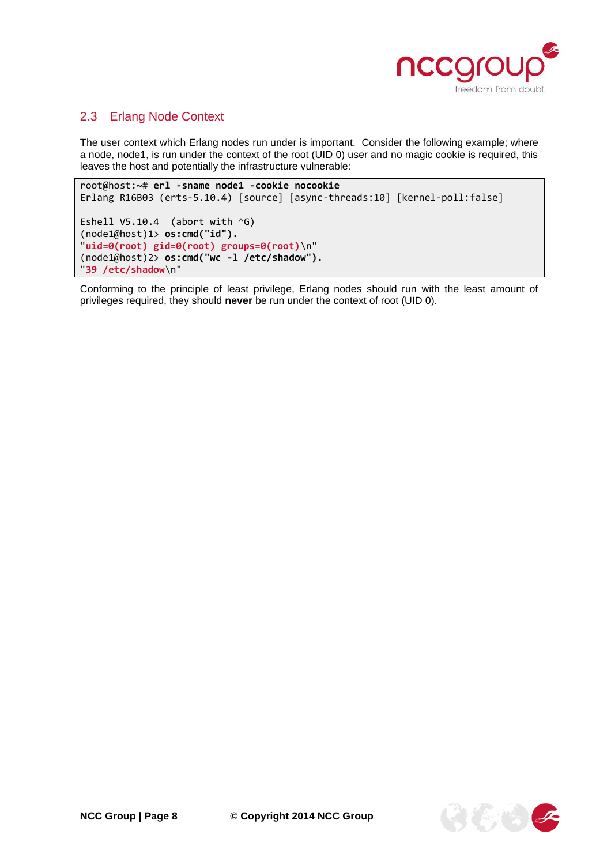

# <span id="page-7-0"></span>2.3 Erlang Node Context

The user context which Erlang nodes run under is important. Consider the following example; where a node, node1, is run under the context of the root (UID 0) user and no magic cookie is required, this leaves the host and potentially the infrastructure vulnerable:

root@host:~# **erl -sname node1 -cookie nocookie** Erlang R16B03 (erts-5.10.4) [source] [async-threads:10] [kernel-poll:false] Eshell  $V5.10.4$  (abort with  $\sqrt{G}$ ) (node1@host)1> **os:cmd("id").** "**uid=0(root) gid=0(root) groups=0(root)**\n" (node1@host)2> **os:cmd("wc -l /etc/shadow").** "**39 /etc/shadow**\n"

Conforming to the principle of least privilege, Erlang nodes should run with the least amount of privileges required, they should **never** be run under the context of root (UID 0).

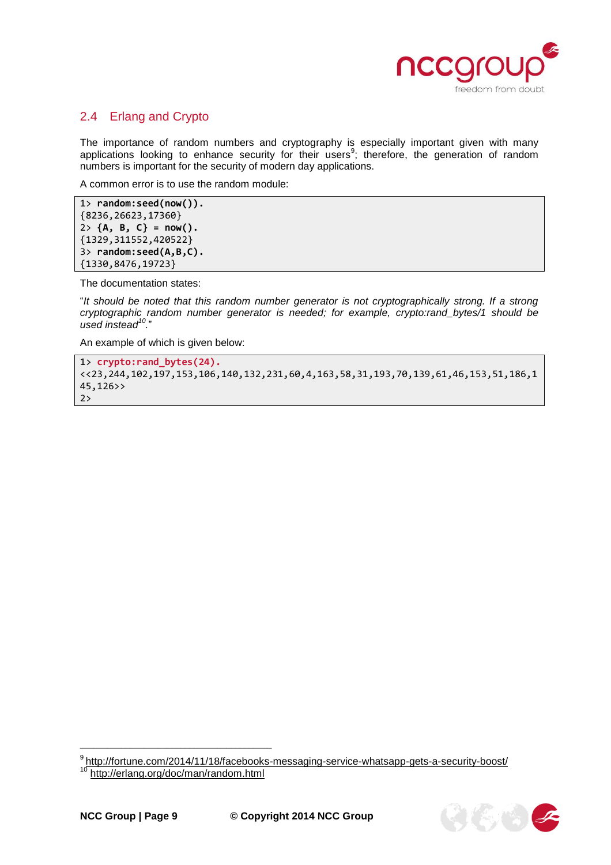

# <span id="page-8-0"></span>2.4 Erlang and Crypto

The importance of random numbers and cryptography is especially important given with many applications looking to enhance security for their users<sup>9</sup>; therefore, the generation of random numbers is important for the security of modern day applications.

A common error is to use the random module:

```
1> random:seed(now()).
{8236,26623,17360}
2> {A, B, C} = now().
{1329,311552,420522}
3> random:seed(A,B,C).
{1330,8476,19723}
```
The documentation states:

"*It should be noted that this random number generator is not cryptographically strong. If a strong cryptographic random number generator is needed; for example, crypto:rand\_bytes/1 should be used instead<sup>10</sup> .*"

An example of which is given below:

```
1> crypto:rand_bytes(24).
<<23,244,102,197,153,106,140,132,231,60,4,163,58,31,193,70,139,61,46,153,51,186,1
45,126>>
2>
```
<sup>9</sup> http://fortune.com/2014/11/18/facebooks-messaging-service-whatsapp-gets-a-security-boost/ 10 <http://erlang.org/doc/man/random.html>

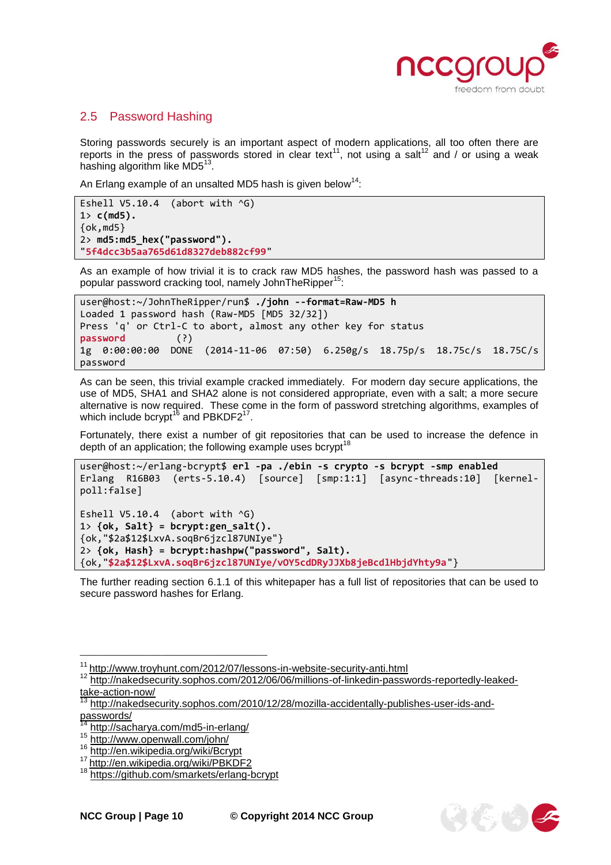

 $\mathcal{G}(\mathcal{E}, \mathcal{C})$ 

# <span id="page-9-0"></span>2.5 Password Hashing

Storing passwords securely is an important aspect of modern applications, all too often there are reports in the press of passwords stored in clear text<sup>11</sup>, not using a salt<sup>12</sup> and / or using a weak hashing algorithm like MD5 $^{\rm 13}$ .

An Erlang example of an unsalted MD5 hash is given below<sup>14</sup>:

```
Eshell V5.10.4 (abort with ^G)
1> c(md5).
{ok,md5}
2> md5:md5_hex("password").
"5f4dcc3b5aa765d61d8327deb882cf99"
```
As an example of how trivial it is to crack raw MD5 hashes, the password hash was passed to a popular password cracking tool, namely JohnTheRipper<sup>15</sup> :

```
user@host:~/JohnTheRipper/run$ ./john --format=Raw-MD5 h
Loaded 1 password hash (Raw-MD5 [MD5 32/32])
Press 'q' or Ctrl-C to abort, almost any other key for status
password (?)
1g 0:00:00:00 DONE (2014-11-06 07:50) 6.250g/s 18.75p/s 18.75c/s 18.75C/s 
password
```
As can be seen, this trivial example cracked immediately. For modern day secure applications, the use of MD5, SHA1 and SHA2 alone is not considered appropriate, even with a salt; a more secure alternative is now required. These come in the form of password stretching algorithms, examples of which include bcrypt $^{16}$  and PBKDF2 $^{17}$ .

Fortunately, there exist a number of git repositories that can be used to increase the defence in depth of an application; the following example uses bcrypt<sup>1</sup>

```
user@host:~/erlang-bcrypt$ erl -pa ./ebin -s crypto -s bcrypt -smp enabled
Erlang R16B03 (erts-5.10.4) [source] [smp:1:1] [async-threads:10] [kernel-
poll:false]
Eshell V5.10.4 (abort with ^G)
1> {ok, Salt} = bcrypt:gen_salt().
{ok,"$2a$12$LxvA.soqBr6jzcl87UNIye"}
2> {ok, Hash} = bcrypt:hashpw("password", Salt).
{ok,"$2a$12$LxvA.soqBr6jzcl87UNIye/vOY5cdDRyJJXb8jeBcdlHbjdYhty9a"}
```
The further reading section [6.1.1](#page-16-2) of this whitepaper has a full list of repositories that can be used to secure password hashes for Erlang.

 $\frac{11}{12}$  <http://www.troyhunt.com/2012/07/lessons-in-website-security-anti.html><br> $\frac{12}{12}$  http://pakedsecurity.copbes.com/2012/06/06/millions-of-linkedin-passw

<sup>12</sup> [http://nakedsecurity.sophos.com/2012/06/06/millions-of-linkedin-passwords-reportedly-leaked](http://nakedsecurity.sophos.com/2012/06/06/millions-of-linkedin-passwords-reportedly-leaked-take-action-now/)[take-action-now/](http://nakedsecurity.sophos.com/2012/06/06/millions-of-linkedin-passwords-reportedly-leaked-take-action-now/) 

<sup>13</sup> [http://nakedsecurity.sophos.com/2010/12/28/mozilla-accidentally-publishes-user-ids-and](http://nakedsecurity.sophos.com/2010/12/28/mozilla-accidentally-publishes-user-ids-and-passwords/)[passwords/](http://nakedsecurity.sophos.com/2010/12/28/mozilla-accidentally-publishes-user-ids-and-passwords/)<br><sup>14</sup> http://eee

<http://sacharya.com/md5-in-erlang/>

<sup>15</sup> <http://www.openwall.com/john/>

<sup>16</sup> <http://en.wikipedia.org/wiki/Bcrypt>

<sup>17</sup> [http://en.wikipedia.org/wiki/PBKDF2](http://en.wikipedia.org/wiki/PBKDF2%209) 

<sup>18</sup> <https://github.com/smarkets/erlang-bcrypt>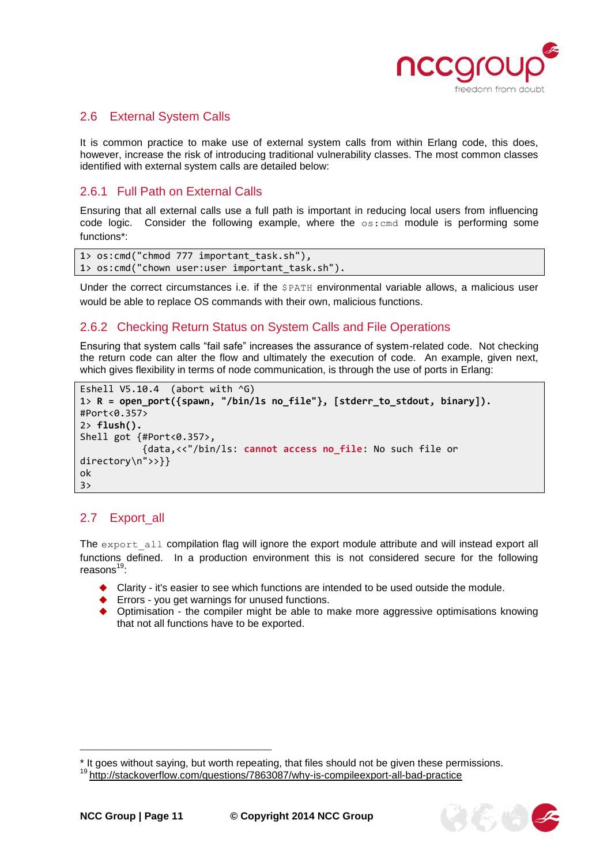

传统

## <span id="page-10-0"></span>2.6 External System Calls

It is common practice to make use of external system calls from within Erlang code, this does, however, increase the risk of introducing traditional vulnerability classes. The most common classes identified with external system calls are detailed below:

# <span id="page-10-1"></span>2.6.1 Full Path on External Calls

Ensuring that all external calls use a full path is important in reducing local users from influencing code logic. Consider the following example, where the  $\circ$ s: cmd module is performing some functions\*:

```
1> os: cmd("chmod 777 important task.sh"),
1> os:cmd("chown user:user important_task.sh").
```
Under the correct circumstances i.e. if the **\$PATH** environmental variable allows, a malicious user would be able to replace OS commands with their own, malicious functions.

## <span id="page-10-2"></span>2.6.2 Checking Return Status on System Calls and File Operations

Ensuring that system calls "fail safe" increases the assurance of system-related code. Not checking the return code can alter the flow and ultimately the execution of code. An example, given next, which gives flexibility in terms of node communication, is through the use of ports in Erlang:

```
Eshell V5.10.4 (abort with \sqrt{G})
1> R = open_port({spawn, "/bin/ls no_file"}, [stderr_to_stdout, binary]).
#Port<0.357>
2> flush().
Shell got {#Port<0.357>,
            {data,<<"/bin/ls: cannot access no_file: No such file or 
directory\n">>}}
ok
3>
```
# <span id="page-10-3"></span>2.7 Export\_all

The export all compilation flag will ignore the export module attribute and will instead export all functions defined. In a production environment this is not considered secure for the following reasons<sup>19</sup>:

- $\blacklozenge$  Clarity it's easier to see which functions are intended to be used outside the module.
- ◆ Errors you get warnings for unused functions.
- ◆ Optimisation the compiler might be able to make more aggressive optimisations knowing that not all functions have to be exported.

<sup>\*</sup> It goes without saying, but worth repeating, that files should not be given these permissions.

<sup>&</sup>lt;sup>19</sup> <http://stackoverflow.com/questions/7863087/why-is-compileexport-all-bad-practice>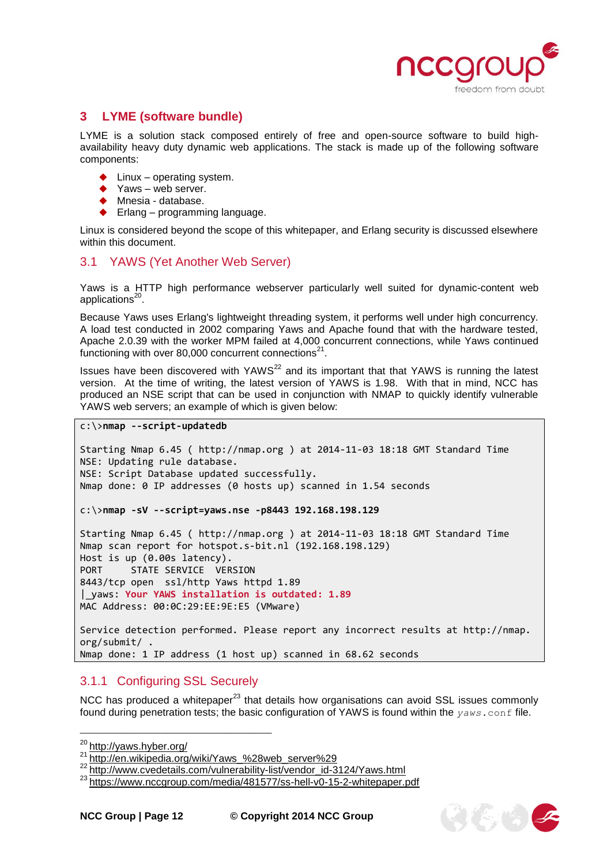

## <span id="page-11-0"></span>**3 LYME (software bundle)**

LYME is a solution stack composed entirely of free and open-source software to build highavailability heavy duty dynamic web applications. The stack is made up of the following software components:

- $\blacklozenge$  Linux operating system.
- Yaws web server.
- ◆ Mnesia database.
- ◆ Erlang programming language.

Linux is considered beyond the scope of this whitepaper, and Erlang security is discussed elsewhere within this document.

# <span id="page-11-1"></span>3.1 YAWS (Yet Another Web Server)

Yaws is a HTTP high performance webserver particularly well suited for dynamic-content web applications<sup>20</sup>.

Because Yaws uses Erlang's lightweight threading system, it performs well under high concurrency. A load test conducted in 2002 comparing Yaws and Apache found that with the hardware tested, Apache 2.0.39 with the worker MPM failed at 4,000 concurrent connections, while Yaws continued functioning with over 80,000 concurrent connections<sup>21</sup>.

Issues have been discovered with YAWS $^{22}$  and its important that that YAWS is running the latest version. At the time of writing, the latest version of YAWS is 1.98. With that in mind, NCC has produced an NSE script that can be used in conjunction with NMAP to quickly identify vulnerable YAWS web servers; an example of which is given below:

c:\>**nmap --script-updatedb**

```
Starting Nmap 6.45 ( http://nmap.org ) at 2014-11-03 18:18 GMT Standard Time
NSE: Updating rule database.
NSE: Script Database updated successfully.
Nmap done: 0 IP addresses (0 hosts up) scanned in 1.54 seconds
c:\>nmap -sV --script=yaws.nse -p8443 192.168.198.129
Starting Nmap 6.45 ( http://nmap.org ) at 2014-11-03 18:18 GMT Standard Time
Nmap scan report for hotspot.s-bit.nl (192.168.198.129)
Host is up (0.00s latency).
PORT STATE SERVICE VERSION
8443/tcp open ssl/http Yaws httpd 1.89
|_yaws: Your YAWS installation is outdated: 1.89
MAC Address: 00:0C:29:EE:9E:E5 (VMware)
Service detection performed. Please report any incorrect results at http://nmap.
org/submit/ .
Nmap done: 1 IP address (1 host up) scanned in 68.62 seconds
```
# <span id="page-11-2"></span>3.1.1 Configuring SSL Securely

\_\_\_\_\_\_\_\_\_\_\_\_\_\_\_\_\_\_\_\_\_\_\_\_\_\_\_\_\_\_\_\_\_\_\_\_\_\_\_\_\_\_

NCC has produced a whitepaper<sup>23</sup> that details how organisations can avoid SSL issues commonly found during penetration tests; the basic configuration of YAWS is found within the *yaws*.conf file.



<sup>&</sup>lt;sup>20</sup> <http://yaws.hyber.org/>

<sup>21</sup> [http://en.wikipedia.org/wiki/Yaws\\_%28web\\_server%29](http://en.wikipedia.org/wiki/Yaws_%28web_server%29)

<sup>22</sup> [http://www.cvedetails.com/vulnerability-list/vendor\\_id-3124/Yaws.html](http://www.cvedetails.com/vulnerability-list/vendor_id-3124/Yaws.html)

<sup>&</sup>lt;sup>23</sup><https://www.nccgroup.com/media/481577/ss-hell-v0-15-2-whitepaper.pdf>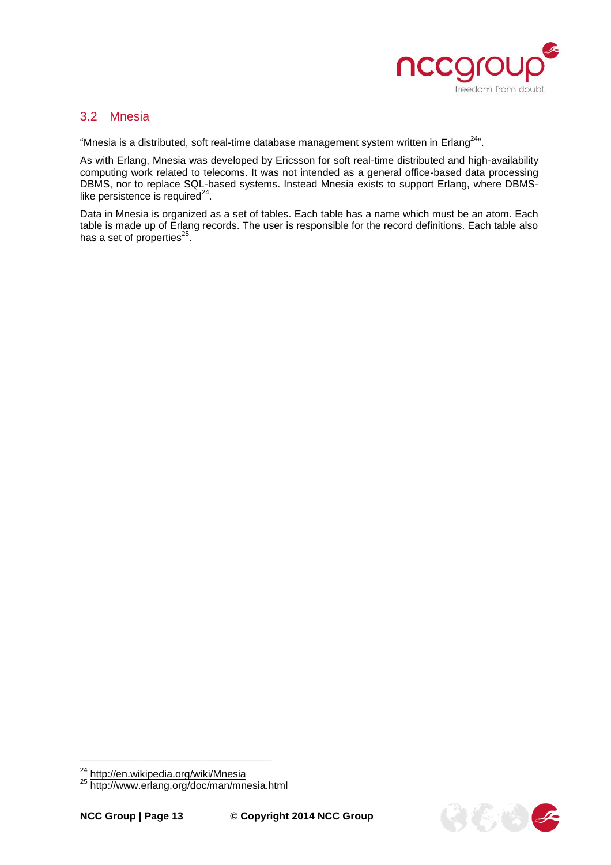

#### <span id="page-12-0"></span>3.2 Mnesia

"Mnesia is a distributed, soft real-time database management system written in Erlang $^{24}$ ".

As with Erlang, Mnesia was developed by Ericsson for soft real-time distributed and high-availability computing work related to telecoms. It was not intended as a general office-based data processing DBMS, nor to replace SQL-based systems. Instead Mnesia exists to support Erlang, where DBMSlike persistence is required $^{24}$ .

Data in Mnesia is organized as a set of tables. Each table has a name which must be an atom. Each table is made up of Erlang records. The user is responsible for the record definitions. Each table also has a set of properties $^{25}$ .



<sup>&</sup>lt;sup>24</sup> <http://en.wikipedia.org/wiki/Mnesia><br><sup>25</sup> <http://www.erlang.org/doc/man/mnesia.html>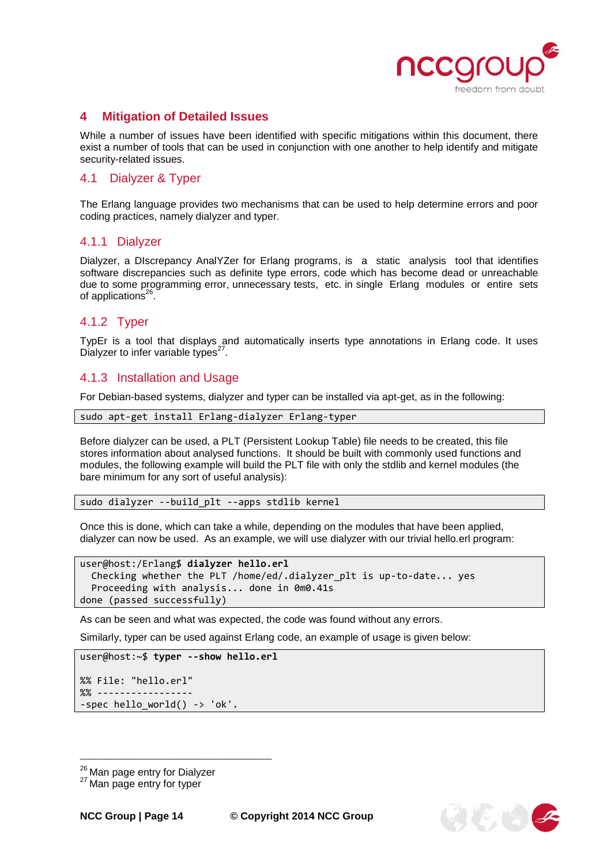

## <span id="page-13-0"></span>**4 Mitigation of Detailed Issues**

While a number of issues have been identified with specific mitigations within this document, there exist a number of tools that can be used in conjunction with one another to help identify and mitigate security-related issues.

#### <span id="page-13-1"></span>4.1 Dialyzer & Typer

The Erlang language provides two mechanisms that can be used to help determine errors and poor coding practices, namely dialyzer and typer.

#### <span id="page-13-2"></span>4.1.1 Dialyzer

Dialyzer, a DIscrepancy AnalYZer for Erlang programs, is a static analysis tool that identifies software discrepancies such as definite type errors, code which has become dead or unreachable due to some programming error, unnecessary tests, etc. in single Erlang modules or entire sets of applications<sup>26</sup>.

#### <span id="page-13-3"></span>4.1.2 Typer

TypEr is a tool that displays and automatically inserts type annotations in Erlang code. It uses Dialyzer to infer variable types $27$ .

#### <span id="page-13-4"></span>4.1.3 Installation and Usage

For Debian-based systems, dialyzer and typer can be installed via apt-get, as in the following:

sudo apt-get install Erlang-dialyzer Erlang-typer

Before dialyzer can be used, a PLT (Persistent Lookup Table) file needs to be created, this file stores information about analysed functions. It should be built with commonly used functions and modules, the following example will build the PLT file with only the stdlib and kernel modules (the bare minimum for any sort of useful analysis):

sudo dialyzer --build\_plt --apps stdlib kernel

Once this is done, which can take a while, depending on the modules that have been applied, dialyzer can now be used. As an example, we will use dialyzer with our trivial hello.erl program:

```
user@host:/Erlang$ dialyzer hello.erl
  Checking whether the PLT /home/ed/.dialyzer_plt is up-to-date... yes
   Proceeding with analysis... done in 0m0.41s
done (passed successfully)
```
As can be seen and what was expected, the code was found without any errors.

Similarly, typer can be used against Erlang code, an example of usage is given below:

```
user@host:~$ typer --show hello.erl
```

```
%% File: "hello.erl"
%% -----------------
-spec hello_world() -> 'ok'.
```


<sup>&</sup>lt;sup>26</sup> Man page entry for Dialyzer

<sup>&</sup>lt;sup>27</sup> Man page entry for typer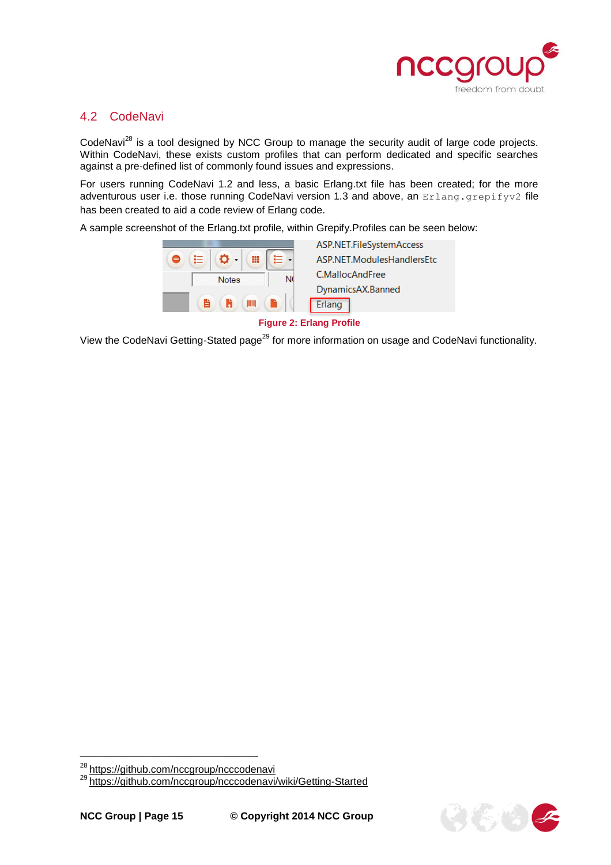

# <span id="page-14-0"></span>4.2 CodeNavi

CodeNavi<sup>28</sup> is a tool designed by NCC Group to manage the security audit of large code projects. Within CodeNavi, these exists custom profiles that can perform dedicated and specific searches against a pre-defined list of commonly found issues and expressions.

For users running CodeNavi 1.2 and less, a basic Erlang.txt file has been created; for the more adventurous user i.e. those running CodeNavi version 1.3 and above, an Erlang.grepifyv2 file has been created to aid a code review of Erlang code.

A sample screenshot of the Erlang.txt profile, within Grepify.Profiles can be seen below:

| ≘ | Ξ |              | ₩   |   |
|---|---|--------------|-----|---|
|   |   | <b>Notes</b> |     | N |
|   | È | ĥ            | ШIJ |   |

ASP.NET.FileSvstemAccess ASP.NET.ModulesHandlersEtc C.MallocAndFree DynamicsAX.Banned Erlang

#### **Figure 2: Erlang Profile**

View the CodeNavi Getting-Stated page<sup>29</sup> for more information on usage and CodeNavi functionality.



<sup>&</sup>lt;sup>28</sup><https://github.com/nccgroup/ncccodenavi>

<sup>&</sup>lt;sup>29</sup> <https://github.com/nccgroup/ncccodenavi/wiki/Getting-Started>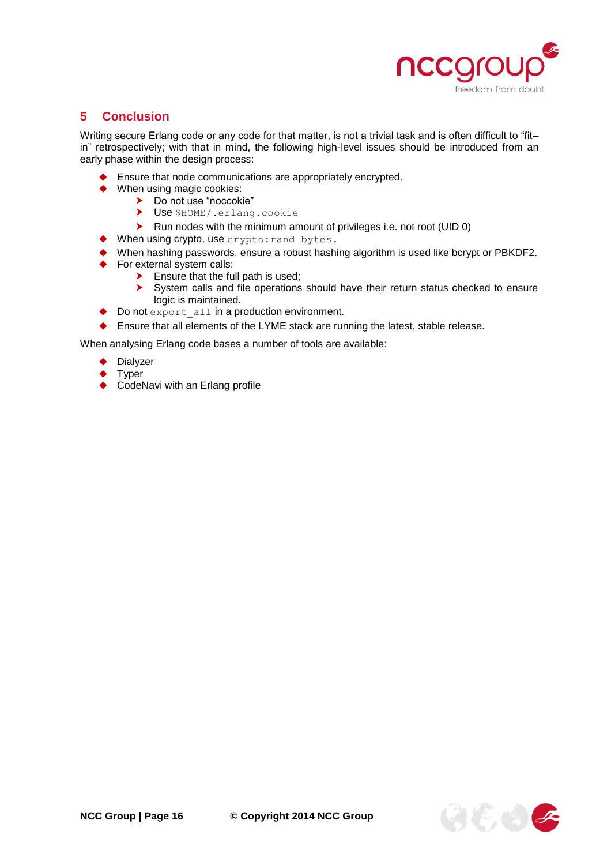

# <span id="page-15-0"></span>**5 Conclusion**

Writing secure Erlang code or any code for that matter, is not a trivial task and is often difficult to "fitin" retrospectively; with that in mind, the following high-level issues should be introduced from an early phase within the design process:

- Ensure that node communications are appropriately encrypted.
- ◆ When using magic cookies:
	- > Do not use "noccokie"
		- > Use \$HOME/.erlang.cookie
		- ▶ Run nodes with the minimum amount of privileges i.e. not root (UID 0)
- When using crypto, use crypto: rand\_bytes.
- When hashing passwords, ensure a robust hashing algorithm is used like bcrypt or PBKDF2.
- For external system calls:
	- $\blacktriangleright$  Ensure that the full path is used;
	- System calls and file operations should have their return status checked to ensure logic is maintained.
- ◆ Do not export all in a production environment.
- ◆ Ensure that all elements of the LYME stack are running the latest, stable release.

When analysing Erlang code bases a number of tools are available:

- Dialyzer
- Typer
- CodeNavi with an Erlang profile